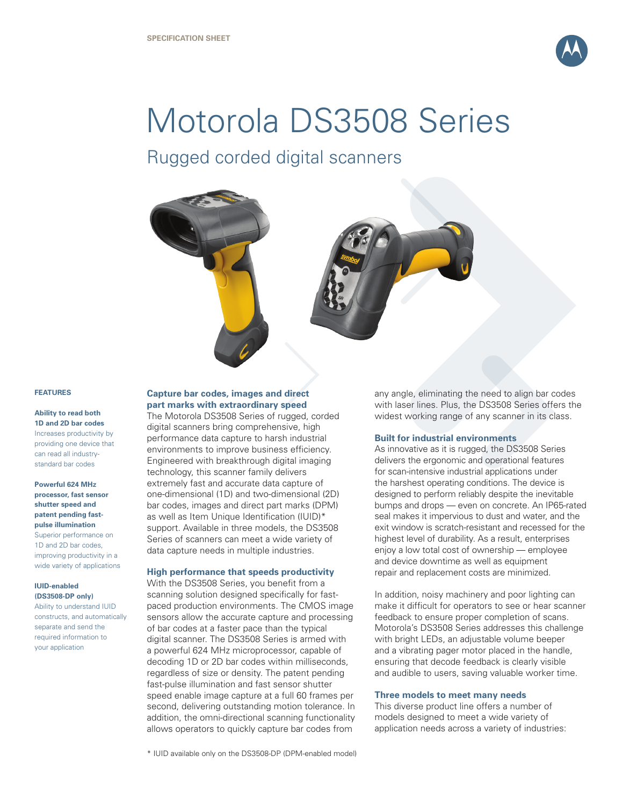

# Motorola DS3508 Series

Rugged corded digital scanners



#### **FEATURES**

# **Ability to read both 1D and 2D bar codes** Increases productivity by providing one device that can read all industrystandard bar codes

# **Powerful 624 MHz processor, fast sensor shutter speed and patent pending fastpulse illumination**

Superior performance on 1D and 2D bar codes, improving productivity in a wide variety of applications

# **IUID-enabled (DS3508-DP only)**

Ability to understand IUID constructs, and automatically separate and send the required information to your application

# **Capture bar codes, images and direct part marks with extraordinary speed**

The Motorola DS3508 Series of rugged, corded digital scanners bring comprehensive, high performance data capture to harsh industrial environments to improve business efficiency. Engineered with breakthrough digital imaging technology, this scanner family delivers extremely fast and accurate data capture of one-dimensional (1D) and two-dimensional (2D) bar codes, images and direct part marks (DPM) as well as Item Unique Identification (IUID)\* support. Available in three models, the DS3508 Series of scanners can meet a wide variety of data capture needs in multiple industries.

# **High performance that speeds productivity**

With the DS3508 Series, you benefit from a scanning solution designed specifically for fastpaced production environments. The CMOS image sensors allow the accurate capture and processing of bar codes at a faster pace than the typical digital scanner. The DS3508 Series is armed with a powerful 624 MHz microprocessor, capable of decoding 1D or 2D bar codes within milliseconds, regardless of size or density. The patent pending fast-pulse illumination and fast sensor shutter speed enable image capture at a full 60 frames per second, delivering outstanding motion tolerance. In addition, the omni-directional scanning functionality allows operators to quickly capture bar codes from

any angle, eliminating the need to align bar codes with laser lines. Plus, the DS3508 Series offers the widest working range of any scanner in its class.

# **Built for industrial environments**

As innovative as it is rugged, the DS3508 Series delivers the ergonomic and operational features for scan-intensive industrial applications under the harshest operating conditions. The device is designed to perform reliably despite the inevitable bumps and drops — even on concrete. An IP65-rated seal makes it impervious to dust and water, and the exit window is scratch-resistant and recessed for the highest level of durability. As a result, enterprises enjoy a low total cost of ownership — employee and device downtime as well as equipment repair and replacement costs are minimized.

In addition, noisy machinery and poor lighting can make it difficult for operators to see or hear scanner feedback to ensure proper completion of scans. Motorola's DS3508 Series addresses this challenge with bright LEDs, an adjustable volume beeper and a vibrating pager motor placed in the handle, ensuring that decode feedback is clearly visible and audible to users, saving valuable worker time.

#### **Three models to meet many needs**

This diverse product line offers a number of models designed to meet a wide variety of application needs across a variety of industries:

\* IUID available only on the DS3508-DP (DPM-enabled model)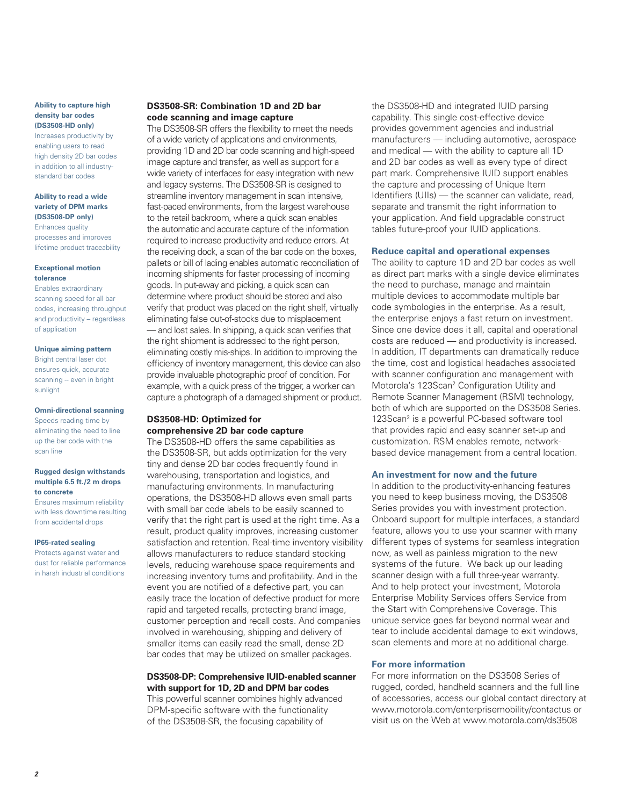# **Ability to capture high density bar codes (DS3508-HD only)**

Increases productivity by enabling users to read high density 2D bar codes in addition to all industrystandard bar codes

#### **Ability to read a wide variety of DPM marks (DS3508-DP only)**  Enhances quality

processes and improves lifetime product traceability

#### **Exceptional motion tolerance**

Enables extraordinary scanning speed for all bar codes, increasing throughput and productivity – regardless of application

#### **Unique aiming pattern**

Bright central laser dot ensures quick, accurate scanning -- even in bright sunlight

#### **Omni-directional scanning**

Speeds reading time by eliminating the need to line up the bar code with the scan line

#### **Rugged design withstands multiple 6.5 ft./2 m drops to concrete**

Ensures maximum reliability with less downtime resulting from accidental drops

#### **IP65-rated sealing**

Protects against water and dust for reliable performance in harsh industrial conditions

# **DS3508-SR: Combination 1D and 2D bar code scanning and image capture**

The DS3508-SR offers the flexibility to meet the needs of a wide variety of applications and environments, providing 1D and 2D bar code scanning and high-speed image capture and transfer, as well as support for a wide variety of interfaces for easy integration with new and legacy systems. The DS3508-SR is designed to streamline inventory management in scan intensive, fast-paced environments, from the largest warehouse to the retail backroom, where a quick scan enables the automatic and accurate capture of the information required to increase productivity and reduce errors. At the receiving dock, a scan of the bar code on the boxes, pallets or bill of lading enables automatic reconciliation of incoming shipments for faster processing of incoming goods. In put-away and picking, a quick scan can determine where product should be stored and also verify that product was placed on the right shelf, virtually eliminating false out-of-stocks due to misplacement — and lost sales. In shipping, a quick scan verifies that the right shipment is addressed to the right person, eliminating costly mis-ships. In addition to improving the efficiency of inventory management, this device can also provide invaluable photographic proof of condition. For example, with a quick press of the trigger, a worker can capture a photograph of a damaged shipment or product.

# **DS3508-HD: Optimized for comprehensive 2D bar code capture**

The DS3508-HD offers the same capabilities as the DS3508-SR, but adds optimization for the very tiny and dense 2D bar codes frequently found in warehousing, transportation and logistics, and manufacturing environments. In manufacturing operations, the DS3508-HD allows even small parts with small bar code labels to be easily scanned to verify that the right part is used at the right time. As a result, product quality improves, increasing customer satisfaction and retention. Real-time inventory visibility allows manufacturers to reduce standard stocking levels, reducing warehouse space requirements and increasing inventory turns and profitability. And in the event you are notified of a defective part, you can easily trace the location of defective product for more rapid and targeted recalls, protecting brand image, customer perception and recall costs. And companies involved in warehousing, shipping and delivery of smaller items can easily read the small, dense 2D bar codes that may be utilized on smaller packages.

# **DS3508-DP: Comprehensive IUID-enabled scanner with support for 1D, 2D and DPM bar codes**

This powerful scanner combines highly advanced DPM-specific software with the functionality of the DS3508-SR, the focusing capability of

the DS3508-HD and integrated IUID parsing capability. This single cost-effective device provides government agencies and industrial manufacturers — including automotive, aerospace and medical — with the ability to capture all 1D and 2D bar codes as well as every type of direct part mark. Comprehensive IUID support enables the capture and processing of Unique Item Identifiers (UIIs) — the scanner can validate, read, separate and transmit the right information to your application. And field upgradable construct tables future-proof your IUID applications.

# **Reduce capital and operational expenses**

The ability to capture 1D and 2D bar codes as well as direct part marks with a single device eliminates the need to purchase, manage and maintain multiple devices to accommodate multiple bar code symbologies in the enterprise. As a result, the enterprise enjoys a fast return on investment. Since one device does it all, capital and operational costs are reduced — and productivity is increased. In addition, IT departments can dramatically reduce the time, cost and logistical headaches associated with scanner configuration and management with Motorola's 123Scan<sup>2</sup> Configuration Utility and Remote Scanner Management (RSM) technology, both of which are supported on the DS3508 Series. 123Scan2 is a powerful PC-based software tool that provides rapid and easy scanner set-up and customization. RSM enables remote, networkbased device management from a central location.

# **An investment for now and the future**

In addition to the productivity-enhancing features you need to keep business moving, the DS3508 Series provides you with investment protection. Onboard support for multiple interfaces, a standard feature, allows you to use your scanner with many different types of systems for seamless integration now, as well as painless migration to the new systems of the future. We back up our leading scanner design with a full three-year warranty. And to help protect your investment, Motorola Enterprise Mobility Services offers Service from the Start with Comprehensive Coverage. This unique service goes far beyond normal wear and tear to include accidental damage to exit windows, scan elements and more at no additional charge.

# **For more information**

For more information on the DS3508 Series of rugged, corded, handheld scanners and the full line of accessories, access our global contact directory at www.motorola.com/enterprisemobility/contactus or visit us on the Web at www.motorola.com/ds3508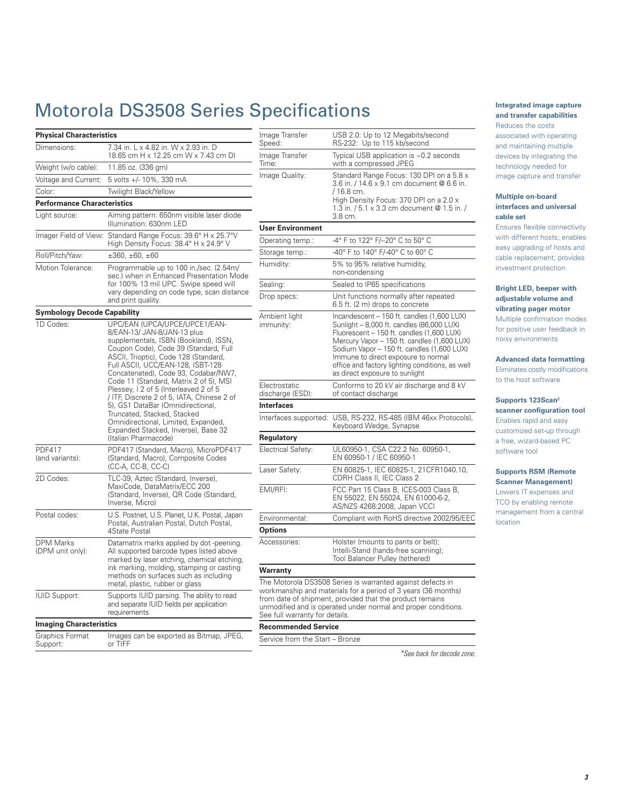# Motorola DS3508 Series Specifications

| Dimensions:                                                                                                                                                                                                                                                                                          | 7.34 in. L x 4.82 in. W x 2.93 in. D                                                                                                                                                                                                                                                                                                                                                                                                                                                                                                                                            |  |  |  |
|------------------------------------------------------------------------------------------------------------------------------------------------------------------------------------------------------------------------------------------------------------------------------------------------------|---------------------------------------------------------------------------------------------------------------------------------------------------------------------------------------------------------------------------------------------------------------------------------------------------------------------------------------------------------------------------------------------------------------------------------------------------------------------------------------------------------------------------------------------------------------------------------|--|--|--|
|                                                                                                                                                                                                                                                                                                      | 18.65 cm H x 12.25 cm W x 7.43 cm D)                                                                                                                                                                                                                                                                                                                                                                                                                                                                                                                                            |  |  |  |
| Weight (w/o cable):                                                                                                                                                                                                                                                                                  | 11.85 oz. (336 gm)                                                                                                                                                                                                                                                                                                                                                                                                                                                                                                                                                              |  |  |  |
| Voltage and Current:                                                                                                                                                                                                                                                                                 | 5 volts +/- 10%, 330 mA                                                                                                                                                                                                                                                                                                                                                                                                                                                                                                                                                         |  |  |  |
| Color:                                                                                                                                                                                                                                                                                               | Twilight Black/Yellow                                                                                                                                                                                                                                                                                                                                                                                                                                                                                                                                                           |  |  |  |
| <b>Performance Characteristics</b>                                                                                                                                                                                                                                                                   |                                                                                                                                                                                                                                                                                                                                                                                                                                                                                                                                                                                 |  |  |  |
| Light source:                                                                                                                                                                                                                                                                                        | Aiming pattern: 650nm visible laser diode<br>Illumination: 630nm LED                                                                                                                                                                                                                                                                                                                                                                                                                                                                                                            |  |  |  |
|                                                                                                                                                                                                                                                                                                      | Imager Field of View: Standard Range Focus: 39.6° H x 25.7°V<br>High Density Focus: 38.4° H x 24.9° V                                                                                                                                                                                                                                                                                                                                                                                                                                                                           |  |  |  |
| Roll/Pitch/Yaw:                                                                                                                                                                                                                                                                                      | $\pm 360, \pm 60, \pm 60$                                                                                                                                                                                                                                                                                                                                                                                                                                                                                                                                                       |  |  |  |
| Motion Tolerance:                                                                                                                                                                                                                                                                                    | Programmable up to 100 in./sec. (2.54m/<br>sec.) when in Enhanced Presentation Mode<br>for 100% 13 mil UPC. Swipe speed will<br>vary depending on code type, scan distance<br>and print quality.                                                                                                                                                                                                                                                                                                                                                                                |  |  |  |
| <b>Symbology Decode Capability</b>                                                                                                                                                                                                                                                                   |                                                                                                                                                                                                                                                                                                                                                                                                                                                                                                                                                                                 |  |  |  |
| 1D Codes:                                                                                                                                                                                                                                                                                            | UPC/EAN (UPCA/UPCE/UPCE1/EAN-<br>8/EAN-13/ JAN-8/JAN-13 plus<br>supplementals, ISBN (Bookland), ISSN,<br>Coupon Code), Code 39 (Standard, Full<br>ASCII, Trioptic), Code 128 (Standard,<br>Full ASCII, UCC/EAN-128, ISBT-128<br>Concatenated), Code 93, Codabar/NW7,<br>Code 11 (Standard, Matrix 2 of 5), MSI<br>Plessey, I 2 of 5 (Interleaved 2 of 5<br>/ ITF, Discrete 2 of 5, IATA, Chinese 2 of<br>5), GS1 DataBar (Omnidirectional,<br>Truncated, Stacked, Stacked<br>Omnidirectional, Limited, Expanded,<br>Expanded Stacked, Inverse), Base 32<br>(Italian Pharmacode) |  |  |  |
| <b>PDF417</b><br>(and variants):                                                                                                                                                                                                                                                                     | PDF417 (Standard, Macro), MicroPDF417<br>(Standard, Macro), Composite Codes<br>(CC-A, CC-B, CC-C)                                                                                                                                                                                                                                                                                                                                                                                                                                                                               |  |  |  |
| 2D Codes:                                                                                                                                                                                                                                                                                            | TLC-39, Aztec (Standard, Inverse),<br>MaxiCode, DataMatrix/ECC 200<br>(Standard, Inverse), QR Code (Standard,<br>Inverse, Micro)                                                                                                                                                                                                                                                                                                                                                                                                                                                |  |  |  |
| Postal codes:                                                                                                                                                                                                                                                                                        | U.S. Postnet, U.S. Planet, U.K. Postal, Japan<br>Postal, Australian Postal, Dutch Postal,<br>4State Postal                                                                                                                                                                                                                                                                                                                                                                                                                                                                      |  |  |  |
| <b>DPM Marks</b><br>Datamatrix marks applied by dot -peening.<br>(DPM unit only):<br>All supported barcode types listed above<br>marked by laser etching, chemical etching,<br>ink marking, molding, stamping or casting<br>methods on surfaces such as including<br>metal, plastic, rubber or glass |                                                                                                                                                                                                                                                                                                                                                                                                                                                                                                                                                                                 |  |  |  |
| <b>IUID Support:</b>                                                                                                                                                                                                                                                                                 | Supports IUID parsing. The ability to read<br>and separate IUID fields per application<br>requirements                                                                                                                                                                                                                                                                                                                                                                                                                                                                          |  |  |  |
| <b>Imaging Characteristics</b>                                                                                                                                                                                                                                                                       |                                                                                                                                                                                                                                                                                                                                                                                                                                                                                                                                                                                 |  |  |  |
| Graphics Format<br>Support:                                                                                                                                                                                                                                                                          | Images can be exported as Bitmap, JPEG,<br>or TIFF                                                                                                                                                                                                                                                                                                                                                                                                                                                                                                                              |  |  |  |

| Image Transfer<br>Speed:          | USB 2.0: Up to 12 Megabits/second<br>RS-232: Up to 115 kb/second                                                                                                                                                                                                                                                                                              |  |  |
|-----------------------------------|---------------------------------------------------------------------------------------------------------------------------------------------------------------------------------------------------------------------------------------------------------------------------------------------------------------------------------------------------------------|--|--|
| Image Transfer<br>Time:           | Typical USB application is ~0.2 seconds<br>with a compressed JPEG                                                                                                                                                                                                                                                                                             |  |  |
| Image Quality:                    | Standard Range Focus: 130 DPI on a 5.8 x<br>3.6 in. / 14.6 x 9.1 cm document @ 6.6 in.<br>/ 16.8 cm.<br>High Density Focus: 370 DPI on a 2.0 x<br>1.3 in. / 5.1 x 3.3 cm document @ 1.5 in. /<br>3.8 cm.                                                                                                                                                      |  |  |
| <b>User Environment</b>           |                                                                                                                                                                                                                                                                                                                                                               |  |  |
| Operating temp.:                  | -4° F to 122° F/--20° C to 50° C                                                                                                                                                                                                                                                                                                                              |  |  |
| Storage temp.:                    | -40° F to 140° F/-40° C to 60° C                                                                                                                                                                                                                                                                                                                              |  |  |
| Humidity:                         | 5% to 95% relative humidity,<br>non-condensing                                                                                                                                                                                                                                                                                                                |  |  |
| Sealing:                          | Sealed to IP65 specifications                                                                                                                                                                                                                                                                                                                                 |  |  |
| Drop specs:                       | Unit functions normally after repeated<br>6.5 ft. (2 m) drops to concrete                                                                                                                                                                                                                                                                                     |  |  |
| Ambient light<br>immunity:        | Incandescent - 150 ft. candles (1,600 LUX)<br>Sunlight - 8,000 ft. candles (86,000 LUX)<br>Fluorescent - 150 ft. candles (1,600 LUX)<br>Mercury Vapor - 150 ft. candles (1,600 LUX)<br>Sodium Vapor - 150 ft. candles (1,600 LUX)<br>Immune to direct exposure to normal<br>office and factory lighting conditions, as well<br>as direct exposure to sunlight |  |  |
| Electrostatic<br>discharge (ESD): | Conforms to 20 kV air discharge and 8 kV<br>of contact discharge                                                                                                                                                                                                                                                                                              |  |  |
| <b>Interfaces</b>                 |                                                                                                                                                                                                                                                                                                                                                               |  |  |
| Interfaces supported:             | USB, RS-232, RS-485 (IBM 46xx Protocols),<br>Keyboard Wedge, Synapse                                                                                                                                                                                                                                                                                          |  |  |
| Regulatory                        |                                                                                                                                                                                                                                                                                                                                                               |  |  |
| Electrical Safety:                | UL60950-1, CSA C22.2 No. 60950-1,<br>EN 60950-1 / IEC 60950-1                                                                                                                                                                                                                                                                                                 |  |  |
| Laser Safety:                     | EN 60825-1, IEC 60825-1, 21CFR1040.10,<br>CDRH Class II, IEC Class 2                                                                                                                                                                                                                                                                                          |  |  |
| EMI/RFI:                          | FCC Part 15 Class B, ICES-003 Class B,<br>EN 55022, EN 55024, EN 61000-6-2,<br>AS/NZS 4268:2008, Japan VCCI                                                                                                                                                                                                                                                   |  |  |
| Environmental:                    | Compliant with RoHS directive 2002/95/EEC                                                                                                                                                                                                                                                                                                                     |  |  |
| <b>Options</b>                    |                                                                                                                                                                                                                                                                                                                                                               |  |  |
| Accessories:                      | Holster (mounts to pants or belt);<br>Intelli-Stand (hands-free scanning);<br>Tool Balancer Pulley (tethered)                                                                                                                                                                                                                                                 |  |  |
| Warranty                          |                                                                                                                                                                                                                                                                                                                                                               |  |  |
| See full warranty for details.    | The Motorola DS3508 Series is warranted against defects in<br>workmanship and materials for a period of 3 years (36 months)<br>from date of shipment, provided that the product remains<br>unmodified and is operated under normal and proper conditions.                                                                                                     |  |  |
| <b>Recommended Service</b>        |                                                                                                                                                                                                                                                                                                                                                               |  |  |

*\*See back for decode zone.*

rvice from the Start – Bronze

# **Integrated image capture and transfer capabilities**

Reduces the costs associated with operating and maintaining multiple devices by integrating the technology needed for image capture and transfer

# **Multiple on-board interfaces and universal cable set**

Ensures flexible connectivity with different hosts; enables easy upgrading of hosts and cable replacement; provides investment protection

# **Bright LED, beeper with adjustable volume and vibrating pager motor**

Multiple confirmation modes for positive user feedback in noisy environments

# **Advanced data formatting**

Eliminates costly modifications to the host software

# **Supports 123Scan2**

**scanner configuration tool** Enables rapid and easy customized set-up through a free, wizard-based PC software tool

#### **Supports RSM (Remote Scanner Management)**

Lowers IT expenses and TCO by enabling remote management from a central location